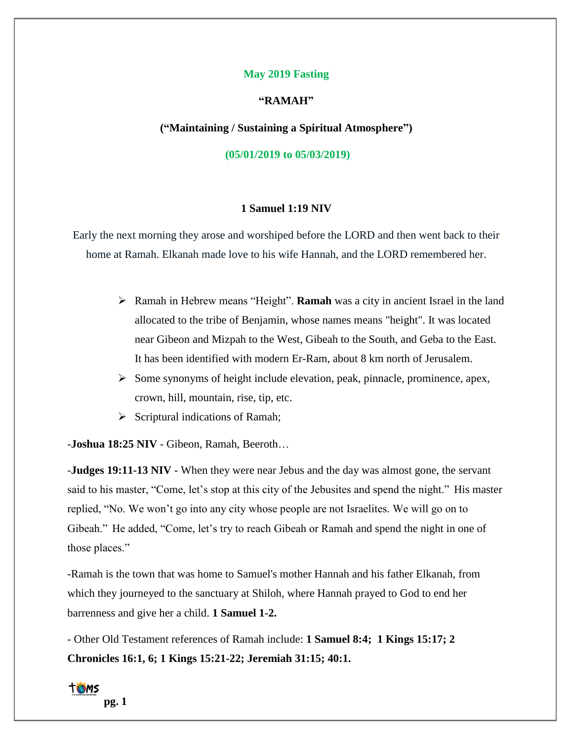#### **May 2019 Fasting**

### **"RAMAH"**

**("Maintaining / Sustaining a Spiritual Atmosphere")**

**(05/01/2019 to 05/03/2019)**

### **1 Samuel 1:19 NIV**

Early the next morning they arose and worshiped before the LORD and then went back to their home at Ramah. Elkanah made love to his wife Hannah, and the LORD remembered her.

- ➢ Ramah in Hebrew means "Height". **Ramah** was a city in [ancient Israel](https://en.wikipedia.org/wiki/History_of_ancient_Israel_and_Judah) in the land allocated to the [tribe of Benjamin,](https://en.wikipedia.org/wiki/Tribe_of_Benjamin) whose names means "height". It was located near [Gibeon](https://en.wikipedia.org/wiki/Gibeon_(ancient_city)) and [Mizpah](https://en.wikipedia.org/wiki/Mizpah_in_Benjamin) to the West, [Gibeah](https://en.wikipedia.org/wiki/Gibeah) to the South, and [Geba](https://en.wikipedia.org/wiki/Geba_(city)) to the East. It has been identified with modern [Er-Ram,](https://en.wikipedia.org/wiki/A-Ram) about 8 km north of [Jerusalem.](https://en.wikipedia.org/wiki/Jerusalem)
- $\triangleright$  Some synonyms of height include elevation, peak, pinnacle, prominence, apex, crown, hill, mountain, rise, tip, etc.
- $\triangleright$  Scriptural indications of Ramah;

-**Joshua 18:25 NIV** - Gibeon, Ramah, Beeroth…

-**Judges 19:11-13 NIV** - When they were near Jebus and the day was almost gone, the servant said to his master, "Come, let's stop at this city of the Jebusites and spend the night." His master replied, "No. We won't go into any city whose people are not Israelites. We will go on to Gibeah." He added, "Come, let's try to reach Gibeah or Ramah and spend the night in one of those places."

-Ramah is the town that was home to [Samuel's](https://en.wikipedia.org/wiki/Samuel) mother [Hannah](https://en.wikipedia.org/wiki/Hannah_(Bible)) and his father [Elkanah,](https://en.wikipedia.org/wiki/Elkanah) from which they journeyed to the sanctuary at [Shiloh,](https://en.wikipedia.org/wiki/Shiloh_(biblical_city)) where Hannah prayed to God to end her barrenness and give her a child. **1 Samuel 1-2.**

- Other Old Testament references of Ramah include: **1 Samuel 8:4; [1 Kings 15:17;](https://www.biblegateway.com/passage/?search=1_Kings%2015:17%E2%80%9315:22&version=nkjv) [2](https://www.biblegateway.com/passage/?search=2_Chronicles%2016:1%E2%80%9316:6&version=nkjv)  [Chronicles 16:1, 6;](https://www.biblegateway.com/passage/?search=2_Chronicles%2016:1%E2%80%9316:6&version=nkjv) [1 Kings 15:21](https://www.biblegateway.com/passage/?search=1_Kings%2015:18%E2%80%9315:18&version=nkjv)-22; [Jeremiah 31:15;](https://en.wikipedia.org/wiki/Jeremiah_31:15) 40:1.**

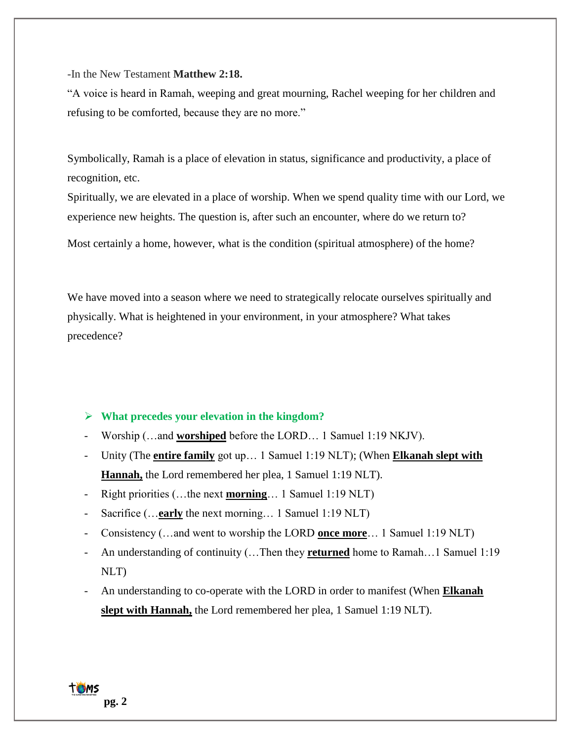-In the New Testament **Matthew 2:18.**

"A voice is heard in Ramah, weeping and great mourning, Rachel weeping for her children and refusing to be comforted, because they are no more."

Symbolically, Ramah is a place of elevation in status, significance and productivity, a place of recognition, etc.

Spiritually, we are elevated in a place of worship. When we spend quality time with our Lord, we experience new heights. The question is, after such an encounter, where do we return to?

Most certainly a home, however, what is the condition (spiritual atmosphere) of the home?

We have moved into a season where we need to strategically relocate ourselves spiritually and physically. What is heightened in your environment, in your atmosphere? What takes precedence?

## ➢ **What precedes your elevation in the kingdom?**

- Worship (…and **worshiped** before the LORD… 1 Samuel 1:19 NKJV).
- Unity (The **entire family** got up… 1 Samuel 1:19 NLT); (When **Elkanah slept with Hannah,** the Lord remembered her plea, 1 Samuel 1:19 NLT).
- Right priorities (…the next **morning**… 1 Samuel 1:19 NLT)
- Sacrifice (…**early** the next morning… 1 Samuel 1:19 NLT)
- Consistency (…and went to worship the LORD **once more**… 1 Samuel 1:19 NLT)
- An understanding of continuity (…Then they **returned** home to Ramah…1 Samuel 1:19 NLT)
- An understanding to co-operate with the LORD in order to manifest (When **Elkanah slept with Hannah,** the Lord remembered her plea, 1 Samuel 1:19 NLT).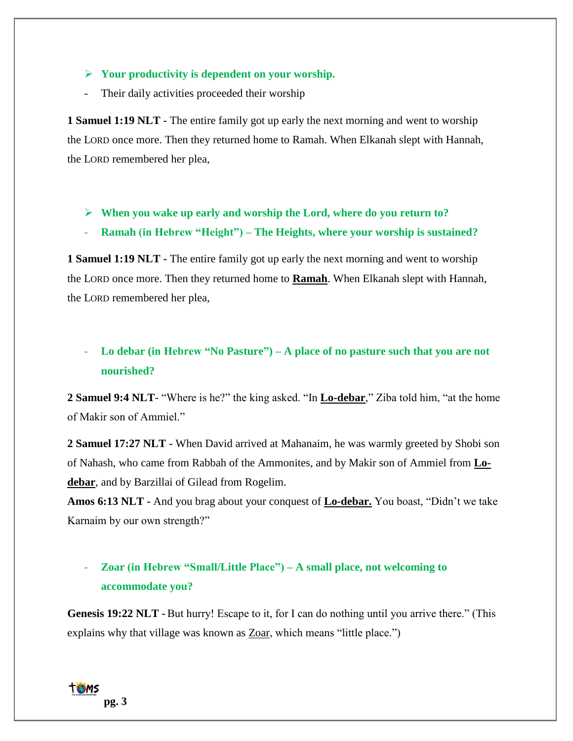## ➢ **Your productivity is dependent on your worship.**

- Their daily activities proceeded their worship

**1 Samuel 1:19 NLT -** The entire family got up early the next morning and went to worship the LORD once more. Then they returned home to Ramah. When Elkanah slept with Hannah, the LORD remembered her plea,

- ➢ **When you wake up early and worship the Lord, where do you return to?**
- **Ramah (in Hebrew "Height") – The Heights, where your worship is sustained?**

**1 Samuel 1:19 NLT -** The entire family got up early the next morning and went to worship the LORD once more. Then they returned home to **Ramah**. When Elkanah slept with Hannah, the LORD remembered her plea,

# - **Lo debar (in Hebrew "No Pasture") – A place of no pasture such that you are not nourished?**

**2 Samuel 9:4 NLT**- "Where is he?" the king asked. "In **Lo-debar**," Ziba told him, "at the home of Makir son of Ammiel."

**2 Samuel 17:27 NLT -** When David arrived at Mahanaim, he was warmly greeted by Shobi son of Nahash, who came from Rabbah of the Ammonites, and by Makir son of Ammiel from **Lodebar**, and by Barzillai of Gilead from Rogelim.

**Amos 6:13 NLT -** And you brag about your conquest of **Lo-debar.** You boast, "Didn't we take Karnaim by our own strength?"

# - **Zoar (in Hebrew "Small/Little Place") – A small place, not welcoming to accommodate you?**

**Genesis 19:22 NLT -** But hurry! Escape to it, for I can do nothing until you arrive there." (This explains why that village was known as **Zoar**, which means "little place.")